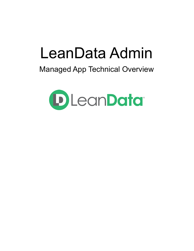# LeanData Admin

# Managed App Technical Overview

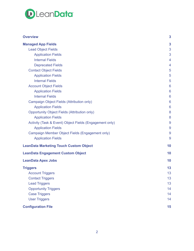

| <b>Overview</b>                                         | 3  |
|---------------------------------------------------------|----|
| <b>Managed App Fields</b>                               | 3  |
| <b>Lead Object Fields</b>                               | 3  |
| <b>Application Fields</b>                               | 3  |
| <b>Internal Fields</b>                                  | 4  |
| <b>Deprecated Fields</b>                                | 4  |
| <b>Contact Object Fields</b>                            | 5  |
| <b>Application Fields</b>                               | 5  |
| <b>Internal Fields</b>                                  | 5  |
| <b>Account Object Fields</b>                            | 6  |
| <b>Application Fields</b>                               | 6  |
| <b>Internal Fields</b>                                  | 6  |
| Campaign Object Fields (Attribution only)               | 6  |
| <b>Application Fields</b>                               | 6  |
| <b>Opportunity Object Fields (Attribution only)</b>     | 8  |
| <b>Application Fields</b>                               | 8  |
| Activity (Task & Event) Object Fields (Engagement only) | 9  |
| <b>Application Fields</b>                               | 9  |
| Campaign Member Object Fields (Engagement only)         | 9  |
| <b>Application Fields</b>                               | 9  |
| <b>LeanData Marketing Touch Custom Object</b>           | 10 |
| <b>LeanData Engagement Custom Object</b>                | 10 |
| <b>LeanData Apex Jobs</b>                               | 10 |
| <b>Triggers</b>                                         | 13 |
| <b>Account Triggers</b>                                 | 13 |
| <b>Contact Triggers</b>                                 | 13 |
| <b>Lead Triggers</b>                                    | 13 |
| <b>Opportunity Triggers</b>                             | 14 |
| <b>Case Triggers</b>                                    | 14 |
| <b>User Triggers</b>                                    | 14 |
| <b>Configuration File</b>                               | 15 |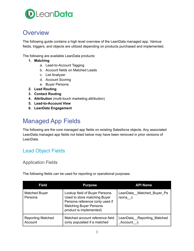

# <span id="page-2-0"></span>**Overview**

The following guide contains a high level overview of the LeanData managed app. Various fields, triggers, and objects are utilized depending on products purchased and implemented.

The following are available LeanData products:

- **1. Matching**
	- a. Lead-to-Account Tagging
	- b. Account fields on Matched Leads
	- c. List Analyzer
	- d. Account Scoring
	- e. Buyer Persona
- **2. Lead Routing**
- **3. Contact Routing**
- **4. Attribution** (multi-touch marketing attribution)
- **5. Lead-to-Account View**
- **6. LeanData Engagement**

# <span id="page-2-1"></span>Managed App Fields

The following are the core managed app fields on existing Salesforce objects. Any associated LeanData managed app fields not listed below may have been removed in prior versions of LeanData.

### <span id="page-2-2"></span>Lead Object Fields

### <span id="page-2-3"></span>Application Fields

The following fields can be used for reporting or operational purposes.

| <b>Field</b>                        | <b>Purpose</b>                                                                                                                                                | <b>API Name</b>                         |
|-------------------------------------|---------------------------------------------------------------------------------------------------------------------------------------------------------------|-----------------------------------------|
| <b>Matched Buyer</b><br>Persona     | Lookup field of Buyer Persona.<br>Used to store matching Buyer<br>Persona reference (only used if<br><b>Matching Buyer Persona</b><br>product is implemented) | LeanData Matched Buyer Pe<br>rsona c    |
| <b>Reporting Matched</b><br>Account | Matched account reference field<br>(only populated if a matched                                                                                               | LeanData Reporting Matched<br>Account c |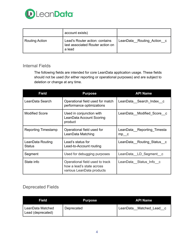

|                | account exists)                                                              |                           |
|----------------|------------------------------------------------------------------------------|---------------------------|
| Routing Action | Lead's Router action: contains<br>last associated Router action on<br>a lead | LeanData Routing Action c |

### <span id="page-3-0"></span>Internal Fields

The following fields are intended for core LeanData application usage. These fields should not be used (for either reporting or operational purposes) and are subject to deletion or change at any time.

| <b>Field</b>                      | <b>Purpose</b>                                                                            | <b>API Name</b>                        |
|-----------------------------------|-------------------------------------------------------------------------------------------|----------------------------------------|
| LeanData Search                   | Operational field used for match<br>performance optimizations                             | LeanData Search Index c                |
| <b>Modified Score</b>             | Used in conjunction with<br>LeanData Account Scoring<br>product                           | LeanData Modified Score c              |
| Reporting Timestamp               | Operational field used for<br>LeanData Matching                                           | LeanData Reporting Timesta<br>$mp$ $c$ |
| LeanData Routing<br><b>Status</b> | Lead's status for<br>Lead-to-Account routing                                              | LeanData Routing Status c              |
| Segment                           | Used for debugging purposes                                                               | LeanData LD Segment c                  |
| State info                        | Operational field used to track<br>how a lead's state across<br>various LeanData products | LeanData Status Info c                 |

### <span id="page-3-1"></span>Deprecated Fields

| Field                                 | <b>Purpose</b> | <b>API Name</b>         |
|---------------------------------------|----------------|-------------------------|
| LeanData Matched<br>Lead (deprecated) | Deprecated     | LeanData Matched Lead c |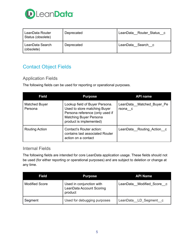

| LeanData Router<br>Status (obsolete) | Deprecated | LeanData Router Status c |
|--------------------------------------|------------|--------------------------|
| LeanData Search<br>(obsolete)        | Deprecated | LeanData Search c        |

# <span id="page-4-0"></span>Contact Object Fields

### <span id="page-4-1"></span>Application Fields

The following fields can be used for reporting or operational purposes.

| <b>Field</b>                    | <b>Purpose</b>                                                                                                                                                | <b>API name</b>                      |
|---------------------------------|---------------------------------------------------------------------------------------------------------------------------------------------------------------|--------------------------------------|
| <b>Matched Buyer</b><br>Persona | Lookup field of Buyer Persona.<br>Used to store matching Buyer<br>Persona reference (only used if<br><b>Matching Buyer Persona</b><br>product is implemented) | LeanData Matched Buyer Pe<br>rsona c |
| <b>Routing Action</b>           | Contact's Router action:<br>contains last associated Router<br>action on a contact                                                                            | LeanData Routing Action c            |

### <span id="page-4-2"></span>Internal Fields

The following fields are intended for core LeanData application usage. These fields should not be used (for either reporting or operational purposes) and are subject to deletion or change at any time.

| <b>Field</b>          | <b>Purpose</b>                                                  | <b>API Name</b>           |
|-----------------------|-----------------------------------------------------------------|---------------------------|
| <b>Modified Score</b> | Used in conjunction with<br>LeanData Account Scoring<br>product | LeanData Modified Score c |
| Segment               | Used for debugging purposes                                     | LeanData LD Segment c     |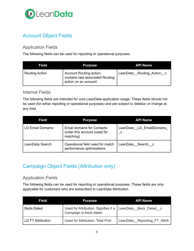

# <span id="page-5-0"></span>Account Object Fields

### <span id="page-5-1"></span>Application Fields

The following fields can be used for reporting or operational purposes.

| <b>Field</b>   | <b>Purpose</b>                                                                             | <b>API Name</b>           |
|----------------|--------------------------------------------------------------------------------------------|---------------------------|
| Routing Action | <b>Account Routing action:</b><br>contains last associated Routing<br>action on an account | LeanData_Routing_Action_c |

### <span id="page-5-2"></span>Internal Fields

The following fields are intended for core LeanData application usage. These fields should not be used (for either reporting or operational purposes) and are subject to deletion or change at any time.

| <b>Field</b>     | <b>Purpose</b>                                                                 | <b>API Name</b>                 |
|------------------|--------------------------------------------------------------------------------|---------------------------------|
| LD Email Domains | <b>Email domains for Contacts</b><br>under this account (used for<br>matching) | LeanData_LD_EmailDomains_<br>C. |
| LeanData Search  | Operational field used for match<br>performance optimizations                  | LeanData Search c               |

## <span id="page-5-3"></span>Campaign Object Fields (Attribution only)

### <span id="page-5-4"></span>Application Fields

The following fields can be used for reporting or operational purposes. These fields are only applicable for customers who are subscribed to LeanData Attribution.

| <b>Field</b>      | <b>Purpose</b>                                                                         | <b>API Name</b>              |
|-------------------|----------------------------------------------------------------------------------------|------------------------------|
| <b>Back-Dated</b> | Used for Attribution: Signifies if a   LeanData Back Dated c<br>Campaign is back-dated |                              |
| LD FT Attribution | Used for Attribution: Total First                                                      | LeanData Reporting FT Attrib |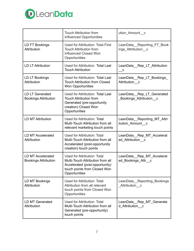

|                                                  | <b>Touch Attribution from</b><br>Influenced Opportunities                                                                                          | ution_Amount_c                                      |
|--------------------------------------------------|----------------------------------------------------------------------------------------------------------------------------------------------------|-----------------------------------------------------|
| LD FT Bookings<br>Attribution                    | <b>Used for Attribution: Total First</b><br><b>Touch Attribution from</b><br><b>Influenced Closed Won</b><br>Opportunities                         | LeanData Reporting FT Book<br>ings Attribution c    |
| <b>LD LT Attribution</b>                         | Used for Attribution: Total Last<br><b>Touch Attribution</b>                                                                                       | LeanData Rep LT Attribution<br>С                    |
| LD LT Bookings<br>Attribution                    | Used for Attribution: Total Last<br><b>Touch Attribution from Closed</b><br><b>Won Opportunities</b>                                               | LeanData_Rep_LT_Bookings_<br>Attribution c          |
| LD LT Generated<br><b>Bookings Attribution</b>   | Used for Attribution: Total Last<br><b>Touch Attribution from</b><br>Generated (pre-opportunity<br>creation) Closed Won<br>Opportunities           | LeanData Rep LT Generated<br>Bookings Attribution c |
| <b>LD MT Attribution</b>                         | Used for Attribution: Total<br>Multi-Touch Attribution from all<br>relevant marketing touch points                                                 | LeanData Reporting MT Attri<br>bution_Amount_c      |
| <b>LD MT Accelerated</b><br>Attribution          | Used for Attribution: Total<br>Multi-Touch Attribution from all<br>Accelerated (post-opportunity<br>creation) touch points                         | LeanData Rep MT Accelerat<br>ed Attribution c       |
| LD MT Accelerated<br><b>Bookings Attribution</b> | Used for Attribution: Total<br>Multi-Touch Attribution from all<br>Accelerated (post-opportunity)<br>touch points from Closed Won<br>Opportunities | LeanData_Rep_MT_Accelerat<br>ed Bookings Attr c     |
| LD MT Bookings<br>Attribution                    | Used for Attribution: Total<br>Attribution from all relevant<br>touch points from Closed Won<br>Opportunities                                      | LeanData Reporting Bookings<br>Attribution c        |
| <b>LD MT Generated</b><br>Attribution            | Used for Attribution: Total<br>Multi-Touch Attribution from all<br>Generated (pre-opportunity)<br>touch points                                     | LeanData Rep MT Generate<br>d_Attribution__c        |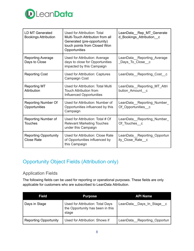

| <b>LD MT Generated</b><br><b>Bookings Attribution</b> | Used for Attribution: Total<br>Multi-Touch Attribution from all<br>Generated (pre-opportunity)<br>touch points from Closed Won<br>Opportunities | LeanData Rep MT Generate<br>d_Bookings_Attribution__c |
|-------------------------------------------------------|-------------------------------------------------------------------------------------------------------------------------------------------------|-------------------------------------------------------|
| <b>Reporting Average</b><br>Days to Close             | Used for Attribution: Average<br>days to close for Opportunities<br>impacted by this Campaign                                                   | LeanData Reporting Average<br>_Days_To_Close__c       |
| <b>Reporting Cost</b>                                 | Used for Attribution: Captures<br>Campaign Cost                                                                                                 | LeanData Reporting Cost c                             |
| <b>Reporting MT</b><br>Attribution                    | Used for Attribution: Total Multi<br><b>Touch Attribution from</b><br>Influenced Opportunities                                                  | LeanData__Reporting_MT_Attri<br>bution_Amount_c       |
| <b>Reporting Number Of</b><br>Opportunities           | Used for Attribution: Number of<br>Opportunities influenced by this<br>Campaign                                                                 | LeanData_Reporting_Number_<br>Of_Opportunities_c      |
| <b>Reporting Number of</b><br><b>Touches</b>          | Used for Attribution: Total # Of<br><b>Relevant Marketing Touches</b><br>under this Campaign                                                    | LeanData Reporting Number<br>Of Touches c             |
| <b>Reporting Opportunity</b><br>Close Rate            | Used for Attribution: Close Rate<br>of Opportunities influenced by<br>this Campaign                                                             | LeanData_Reporting_Opportun<br>ity Close Rate c       |

# <span id="page-7-0"></span>Opportunity Object Fields (Attribution only)

### <span id="page-7-1"></span>Application Fields

The following fields can be used for reporting or operational purposes. These fields are only applicable for customers who are subscribed to LeanData Attribution.

| <b>Field</b>                 | <b>Purpose</b>                                                                       | <b>API Name</b>             |
|------------------------------|--------------------------------------------------------------------------------------|-----------------------------|
| Days in Stage                | <b>Used for Attribution: Total Days</b><br>the Opportunity has been in this<br>stage | LeanData Days In Stage c    |
| <b>Reporting Opportunity</b> | Used for Attribution: Shows if                                                       | LeanData Reporting Opportun |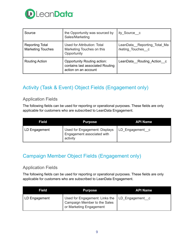

| Source                                             | the Opportunity was sourced by<br>Sales/Marketing                                       | ity Source c                                     |
|----------------------------------------------------|-----------------------------------------------------------------------------------------|--------------------------------------------------|
| <b>Reporting Total</b><br><b>Marketing Touches</b> | Used for Attribution: Total<br>Marketing Touches on this<br>Opportunity                 | LeanData Reporting Total Ma<br>rketing Touches c |
| <b>Routing Action</b>                              | Opportunity Routing action:<br>contains last associated Routing<br>action on an account | LeanData Routing Action c                        |

# <span id="page-8-0"></span>Activity (Task & Event) Object Fields (Engagement only)

### <span id="page-8-1"></span>Application Fields

The following fields can be used for reporting or operational purposes. These fields are only applicable for customers who are subscribed to LeanData Engagement.

| Field         | <b>Purpose</b>                                                          | <b>API Name</b> |
|---------------|-------------------------------------------------------------------------|-----------------|
| LD Engagement | Used for Engagement: Displays<br>Engagement associated with<br>activity | LD_Engagement c |

## <span id="page-8-2"></span>Campaign Member Object Fields (Engagement only)

### <span id="page-8-3"></span>Application Fields

The following fields can be used for reporting or operational purposes. These fields are only applicable for customers who are subscribed to LeanData Engagement.

| Field         | <b>Purpose</b>                                                                                              | <b>API Name</b> |
|---------------|-------------------------------------------------------------------------------------------------------------|-----------------|
| LD Engagement | Used for Engagement: Links the   LD_Engagement c<br>Campaign Member to the Sales<br>or Marketing Engagement |                 |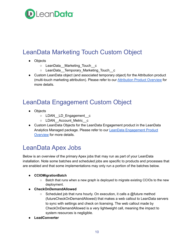

# <span id="page-9-0"></span>LeanData Marketing Touch Custom Object

- Objects
	- o LeanData Marketing Touch c
	- LeanData\_\_Temporary\_Marketing\_Touch\_\_c
- Custom LeanData object (and associated temporary object) for the Attribution product (multi-touch marketing attribution). Please refer to our [Attribution](https://leandatahelp.zendesk.com/hc/en-us/articles/360016461433) Product Overview for more details.

# <span id="page-9-1"></span>LeanData Engagement Custom Object

- Objects
	- o LDAN LD Engagement c
	- o LDAN Account Metric c
- Custom LeanData Objects for the LeanData Engagement product in the LeanData Analytics Managed package. Please refer to our LeanData [Engagement](https://leandatahelp.zendesk.com/hc/en-us/articles/360046366193) Product [Overview](https://leandatahelp.zendesk.com/hc/en-us/articles/360046366193) for more details.

# <span id="page-9-2"></span>LeanData Apex Jobs

Below is an overview of the primary Apex jobs that may run as part of your LeanData installation. Note some batches and scheduled jobs are specific to products and processes that are enabled and that some implementations may only run a portion of the batches below.

#### ● **CCIOMigrationBatch**

- Batch that runs when a new graph is deployed to migrate existing CCIOs to the new deployment.
- **CheckOnDemandAllowed**
	- $\circ$  Scheduled job that runs hourly. On execution, it calls a @future method (futureCheckOnDemandAllowed) that makes a web callout to LeanData servers to sync with settings and check on licensing. The web callout made by CheckOnDemandAllowed is a very lightweight call, meaning the impact to system resources is negligible.
- **● LeadConverter**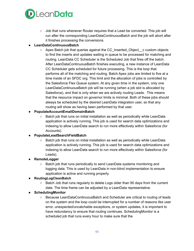

 $\circ$  Job that runs whenever Router requires that a Lead be converted. This job will run after the corresponding LeanDataContinuousBatch and the job will abort after it finishes processing the conversions.

### **● LeanDataContinuousBatch**

 $\circ$  Apex Batch job that queries against the CC Inserted Object  $\circ$  custom objects to find the inserts and updates waiting in queue to be processed for matching and routing. LeanData CC Scheduler is the Scheduled Job that fires off the batch. After LeanDataContinuousBatch finishes executing, a new instance of LeanData CC Scheduler gets scheduled for future processing. This is the loop that performs all of the matching and routing. Batch Apex jobs are limited to five at a time inside of an SFDC org. This limit and the allocation of jobs is controlled by the Salesforce Flex Queue system. At any given time in the system, only one LeanDataContinuousBatch job will be running (when a job slot is allocated by Salesforce), and that is only when we are actively routing Leads. This means that the resource impact on governor limits is minimal. Both of these jobs should always be scheduled by the desired LeanData integration user, so that any routing will show as having been performed by that user.

### ● **PopulateAccountEmailDomainBatch**

○ Batch job that runs on initial installation as well as periodically while LeanData application is actively running. This job is used for search data optimizations and indexing to allow LeanData search to run more effectively within Salesforce (for Accounts).

#### ● **PopulateLeadSearchFieldBatch**

 $\circ$  Batch job that runs on initial installation as well as periodically while LeanData application is actively running. This job is used for search data optimizations and indexing to allow LeanData search to run more effectively within Salesforce (for Leads).

#### **● RemoteLogger**

○ Batch job that runs periodically to send LeanData systems monitoring and logging data. This is used by LeanData in non-blind implementation to ensure application is active and running properly.

#### **● RoutingLogCleanBatch**

○ Batch Job that runs regularly to delete Logs older than 90 days from the current date. The time frame can be adjusted by a LeanData representative.

#### ● **SchedulingMonitor**

○ Because LeanDataContinuousBatch and Scheduler are critical to routing of leads on the system and the loop could be interrupted for a number of reasons like user error, unexpected/uncatchable exceptions, or system updates, it is important to have redundancy to ensure that routing continues. SchedulingMonitor is a scheduled job that runs every hour to make sure that the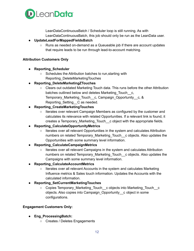

LeanDataContinuousBatch / Scheduler loop is still running. As with LeanDataContinuousBatch, this job should only be run as the LeanData user.

#### ● **UpdateLeadForMappedFieldsBatch**

○ Runs as needed on-demand as a Queueable job if there are account updates that require leads to be run through lead-to-account matching.

#### **Attribution Customers Only**

- **● Reporting\_Scheduler**
	- Schedules the Attribution batches to run, starting with Reporting\_DeleteMarketingTouches
- **● Reporting\_DeleteMarketingZTouches**
	- Clears out outdated Marketing Touch data. This runs before the other Attribution batches outlined below and deletes Marketing Touch c, Temporary\_Marketing\_Touch\_c, Campaign\_Opportunity\_c, & Reporting Setting C as needed.
- **● Reporting\_CreateMarketingTouches**
	- Iterates over relevant Campaign Members as configured by the customer and calculates its relevance with related Opportunities. If a relevant link is found, it creates a Temporary\_Marketing\_Touch\_\_c object with the appropriate fields.
- **● Reporting\_CalculateOpportunityMetrics**
	- Iterates over all relevant Opportunities in the system and calculates Attribution numbers on related Temporary\_Marketing\_Touch\_\_c objects. Also updates the Opportunities with some summary level information.
- **● Reporting\_CalculateCampaignMetrics**
	- Iterates over all relevant Campaigns in the system and calculates Attribution numbers on related Temporary\_Marketing\_Touch\_c objects. Also updates the Campaigns with some summary level information.
- **● Reporting\_CalculateAccountMetrics**
	- Iterates over all relevant Accounts in the system and calculates Marketing Influence metrics & Sales touch information. Updates the Accounts with the calculated information.
- **● Reporting\_SetCurrentMarketingTouches**
	- Copies Temporary\_Marketing\_Touch\_c objects into Marketing\_Touch\_c objects. Also copies into Campaign\_Opportunity\_\_c object in some configurations.

#### **Engagement Customers Only:**

- **● Eng\_ProcessingBatch:**
	- Creates / Deletes Engagements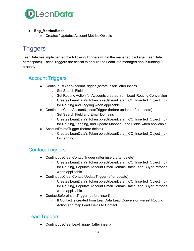

- **● Eng\_MetricsBatch**:
	- **○** Creates / Updates Account Metrics Objects

# <span id="page-12-0"></span>**Triggers**

LeanData has implemented the following Triggers within the managed package (LeanData namespace). These Triggers are critical to ensure the LeanData managed app is running properly.

# <span id="page-12-1"></span>Account Triggers

- ContinuousCleanAccountTrigger (before insert, after insert)
	- Set Search Field
	- Set Routing Action for Accounts created from Lead Routing Conversion
	- Creates LeanData's Token object(LeanData CC\_Inserted\_Object c) for Routing and Tagging when applicable.
- ContinuousCleanAccountUpdateTrigger (before update, after update)
	- Set Search Field and Email Domains
	- Creates LeanData's Token object(LeanData CC\_Inserted\_Object c) for Routing, Tagging, and Update Mapped Lead Fields when applicable.
- AccountDeleteTrigger (before delete)
	- Creates LeanData's Token object(LeanData CC\_Inserted\_Object c) for Tagging.

# <span id="page-12-2"></span>Contact Triggers

- ContinuousCleanContactTrigger (after insert, after delete)
	- Creates LeanData's Token object(LeanData CC\_Inserted\_Object c) for Routing, Populate Account Email Domain Batch, and Buyer Persona when applicable.
- ContinuousCleanContactUpdateTrigger (after update)
	- Creates LeanData's Token object(LeanData CC\_Inserted\_Object c) for Routing, Populate Account Email Domain Batch, and Buyer Persona when applicable.
- ContactBeforeInsertTrigger (before insert)
	- If Contact is created from LeanData Lead Conversion we set Routing Action and map Lead Fields to Contact

# <span id="page-12-3"></span>Lead Triggers

● ContinuousCleanLeadTrigger (after insert)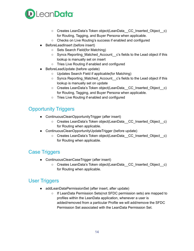

- Creates LeanData's Token object(LeanData CC\_Inserted Object c) for Routing, Tagging, and Buyer Persona when applicable.
- Checks on Live Routing's success if enabled and configured
- BeforeLeadInsert (before insert)
	- Sets Search Field(for Matching)
	- Syncs Reporting Matched Account c's fields to the Lead object if this lookup is manually set on insert
	- Tries Live Routing if enabled and configured
- BeforeLeadUpdate (before update)
	- Updates Search Field if applicable(for Matching)
	- Syncs Reporting\_Matched\_Account\_c's fields to the Lead object if this lookup is manually set on update
	- Creates LeanData's Token object(LeanData CC\_Inserted\_Object c) for Routing, Tagging, and Buyer Persona when applicable.
	- Tries Live Routing if enabled and configured

## <span id="page-13-0"></span>Opportunity Triggers

- ContinuousCleanOpportunityTrigger (after insert)
	- Creates LeanData's Token object(LeanData CC\_Inserted\_Object c) for Routing when applicable.
- ContinuousCleanOpportunityUpdateTrigger (before update)
	- Creates LeanData's Token object(LeanData CC\_Inserted\_Object c) for Routing when applicable.

## <span id="page-13-1"></span>Case Triggers

- ContinuousCleanCaseTrigger (after insert)
	- Creates LeanData's Token object(LeanData CC\_Inserted\_Object c) for Routing when applicable.

## <span id="page-13-2"></span>User Triggers

- addLeanDataPermissionSet (after insert, after update)
	- If LeanData Permission Sets(not SFDC permission sets) are mapped to profiles within the LeanData application, whenever a user is added/removed from a particular Profile we will add/remove the SFDC Permission Set associated with the LeanData Permission Set.